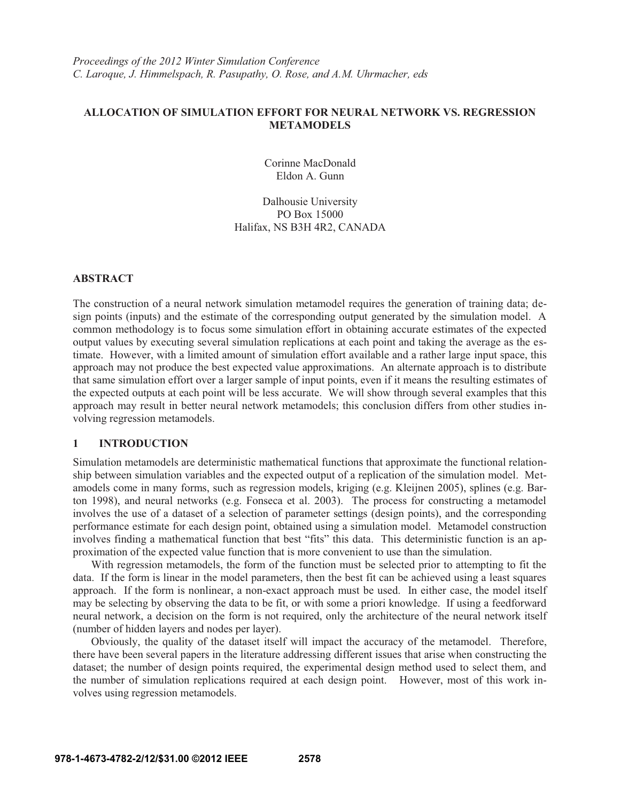# **ALLOCATION OF SIMULATION EFFORT FOR NEURAL NETWORK VS. REGRESSION METAMODELS**

Corinne MacDonald Eldon A. Gunn

Dalhousie University PO Box 15000 Halifax, NS B3H 4R2, CANADA

# **ABSTRACT**

The construction of a neural network simulation metamodel requires the generation of training data; design points (inputs) and the estimate of the corresponding output generated by the simulation model. A common methodology is to focus some simulation effort in obtaining accurate estimates of the expected output values by executing several simulation replications at each point and taking the average as the estimate. However, with a limited amount of simulation effort available and a rather large input space, this approach may not produce the best expected value approximations. An alternate approach is to distribute that same simulation effort over a larger sample of input points, even if it means the resulting estimates of the expected outputs at each point will be less accurate. We will show through several examples that this approach may result in better neural network metamodels; this conclusion differs from other studies involving regression metamodels.

### **1 INTRODUCTION**

Simulation metamodels are deterministic mathematical functions that approximate the functional relationship between simulation variables and the expected output of a replication of the simulation model. Metamodels come in many forms, such as regression models, kriging (e.g. Kleijnen 2005), splines (e.g. Barton 1998), and neural networks (e.g. Fonseca et al. 2003). The process for constructing a metamodel involves the use of a dataset of a selection of parameter settings (design points), and the corresponding performance estimate for each design point, obtained using a simulation model. Metamodel construction involves finding a mathematical function that best "fits" this data. This deterministic function is an approximation of the expected value function that is more convenient to use than the simulation.

With regression metamodels, the form of the function must be selected prior to attempting to fit the data. If the form is linear in the model parameters, then the best fit can be achieved using a least squares approach. If the form is nonlinear, a non-exact approach must be used. In either case, the model itself may be selecting by observing the data to be fit, or with some a priori knowledge. If using a feedforward neural network, a decision on the form is not required, only the architecture of the neural network itself (number of hidden layers and nodes per layer).

Obviously, the quality of the dataset itself will impact the accuracy of the metamodel. Therefore, there have been several papers in the literature addressing different issues that arise when constructing the dataset; the number of design points required, the experimental design method used to select them, and the number of simulation replications required at each design point. However, most of this work involves using regression metamodels.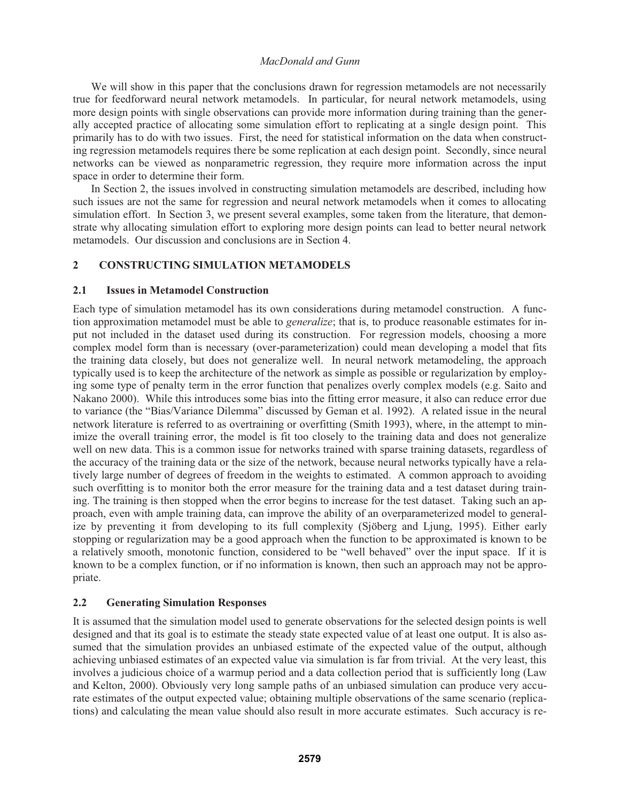We will show in this paper that the conclusions drawn for regression metamodels are not necessarily true for feedforward neural network metamodels. In particular, for neural network metamodels, using more design points with single observations can provide more information during training than the generally accepted practice of allocating some simulation effort to replicating at a single design point. This primarily has to do with two issues. First, the need for statistical information on the data when constructing regression metamodels requires there be some replication at each design point. Secondly, since neural networks can be viewed as nonparametric regression, they require more information across the input space in order to determine their form.

In Section 2, the issues involved in constructing simulation metamodels are described, including how such issues are not the same for regression and neural network metamodels when it comes to allocating simulation effort. In Section 3, we present several examples, some taken from the literature, that demonstrate why allocating simulation effort to exploring more design points can lead to better neural network metamodels. Our discussion and conclusions are in Section 4.

## **2 CONSTRUCTING SIMULATION METAMODELS**

## **2.1 Issues in Metamodel Construction**

Each type of simulation metamodel has its own considerations during metamodel construction. A function approximation metamodel must be able to *generalize*; that is, to produce reasonable estimates for input not included in the dataset used during its construction. For regression models, choosing a more complex model form than is necessary (over-parameterization) could mean developing a model that fits the training data closely, but does not generalize well. In neural network metamodeling, the approach typically used is to keep the architecture of the network as simple as possible or regularization by employing some type of penalty term in the error function that penalizes overly complex models (e.g. Saito and Nakano 2000). While this introduces some bias into the fitting error measure, it also can reduce error due to variance (the "Bias/Variance Dilemma" discussed by Geman et al. 1992). A related issue in the neural network literature is referred to as overtraining or overfitting (Smith 1993), where, in the attempt to minimize the overall training error, the model is fit too closely to the training data and does not generalize well on new data. This is a common issue for networks trained with sparse training datasets, regardless of the accuracy of the training data or the size of the network, because neural networks typically have a relatively large number of degrees of freedom in the weights to estimated. A common approach to avoiding such overfitting is to monitor both the error measure for the training data and a test dataset during training. The training is then stopped when the error begins to increase for the test dataset. Taking such an approach, even with ample training data, can improve the ability of an overparameterized model to generalize by preventing it from developing to its full complexity (Sjöberg and Ljung, 1995). Either early stopping or regularization may be a good approach when the function to be approximated is known to be a relatively smooth, monotonic function, considered to be "well behaved" over the input space. If it is known to be a complex function, or if no information is known, then such an approach may not be appropriate.

## **2.2 Generating Simulation Responses**

It is assumed that the simulation model used to generate observations for the selected design points is well designed and that its goal is to estimate the steady state expected value of at least one output. It is also assumed that the simulation provides an unbiased estimate of the expected value of the output, although achieving unbiased estimates of an expected value via simulation is far from trivial. At the very least, this involves a judicious choice of a warmup period and a data collection period that is sufficiently long (Law and Kelton, 2000). Obviously very long sample paths of an unbiased simulation can produce very accurate estimates of the output expected value; obtaining multiple observations of the same scenario (replications) and calculating the mean value should also result in more accurate estimates. Such accuracy is re-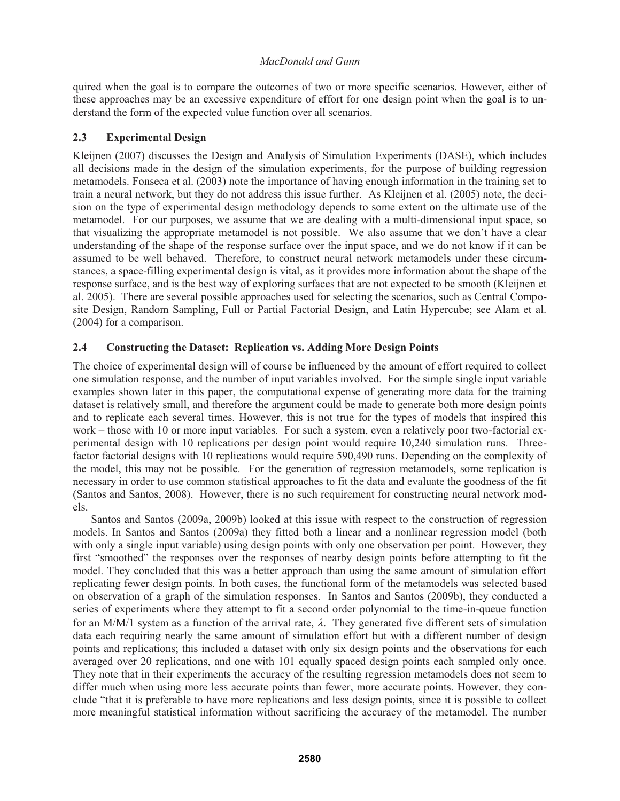quired when the goal is to compare the outcomes of two or more specific scenarios. However, either of these approaches may be an excessive expenditure of effort for one design point when the goal is to understand the form of the expected value function over all scenarios.

# **2.3 Experimental Design**

Kleijnen (2007) discusses the Design and Analysis of Simulation Experiments (DASE), which includes all decisions made in the design of the simulation experiments, for the purpose of building regression metamodels. Fonseca et al. (2003) note the importance of having enough information in the training set to train a neural network, but they do not address this issue further. As Kleijnen et al. (2005) note, the decision on the type of experimental design methodology depends to some extent on the ultimate use of the metamodel. For our purposes, we assume that we are dealing with a multi-dimensional input space, so that visualizing the appropriate metamodel is not possible. We also assume that we don't have a clear understanding of the shape of the response surface over the input space, and we do not know if it can be assumed to be well behaved. Therefore, to construct neural network metamodels under these circumstances, a space-filling experimental design is vital, as it provides more information about the shape of the response surface, and is the best way of exploring surfaces that are not expected to be smooth (Kleijnen et al. 2005). There are several possible approaches used for selecting the scenarios, such as Central Composite Design, Random Sampling, Full or Partial Factorial Design, and Latin Hypercube; see Alam et al. (2004) for a comparison.

# **2.4 Constructing the Dataset: Replication vs. Adding More Design Points**

The choice of experimental design will of course be influenced by the amount of effort required to collect one simulation response, and the number of input variables involved. For the simple single input variable examples shown later in this paper, the computational expense of generating more data for the training dataset is relatively small, and therefore the argument could be made to generate both more design points and to replicate each several times. However, this is not true for the types of models that inspired this work – those with 10 or more input variables. For such a system, even a relatively poor two-factorial experimental design with 10 replications per design point would require 10,240 simulation runs. Threefactor factorial designs with 10 replications would require 590,490 runs. Depending on the complexity of the model, this may not be possible. For the generation of regression metamodels, some replication is necessary in order to use common statistical approaches to fit the data and evaluate the goodness of the fit (Santos and Santos, 2008). However, there is no such requirement for constructing neural network models.

Santos and Santos (2009a, 2009b) looked at this issue with respect to the construction of regression models. In Santos and Santos (2009a) they fitted both a linear and a nonlinear regression model (both with only a single input variable) using design points with only one observation per point. However, they first "smoothed" the responses over the responses of nearby design points before attempting to fit the model. They concluded that this was a better approach than using the same amount of simulation effort replicating fewer design points. In both cases, the functional form of the metamodels was selected based on observation of a graph of the simulation responses. In Santos and Santos (2009b), they conducted a series of experiments where they attempt to fit a second order polynomial to the time-in-queue function for an M/M/1 system as a function of the arrival rate,  $\lambda$ . They generated five different sets of simulation data each requiring nearly the same amount of simulation effort but with a different number of design points and replications; this included a dataset with only six design points and the observations for each averaged over 20 replications, and one with 101 equally spaced design points each sampled only once. They note that in their experiments the accuracy of the resulting regression metamodels does not seem to differ much when using more less accurate points than fewer, more accurate points. However, they conclude "that it is preferable to have more replications and less design points, since it is possible to collect more meaningful statistical information without sacrificing the accuracy of the metamodel. The number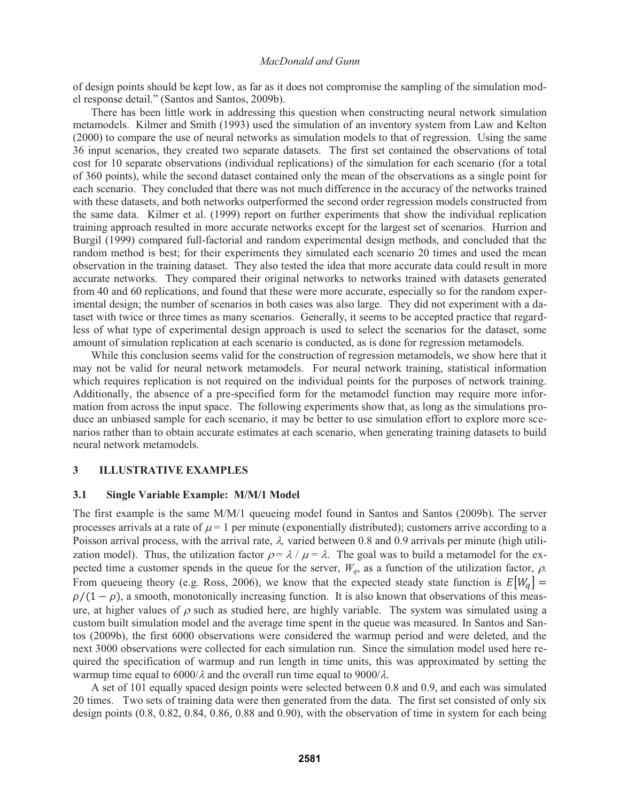of design points should be kept low, as far as it does not compromise the sampling of the simulation model response detail." (Santos and Santos, 2009b).

There has been little work in addressing this question when constructing neural network simulation metamodels. Kilmer and Smith (1993) used the simulation of an inventory system from Law and Kelton (2000) to compare the use of neural networks as simulation models to that of regression. Using the same 36 input scenarios, they created two separate datasets. The first set contained the observations of total cost for 10 separate observations (individual replications) of the simulation for each scenario (for a total of 360 points), while the second dataset contained only the mean of the observations as a single point for each scenario. They concluded that there was not much difference in the accuracy of the networks trained with these datasets, and both networks outperformed the second order regression models constructed from the same data. Kilmer et al. (1999) report on further experiments that show the individual replication training approach resulted in more accurate networks except for the largest set of scenarios. Hurrion and Burgil (1999) compared full-factorial and random experimental design methods, and concluded that the random method is best; for their experiments they simulated each scenario 20 times and used the mean observation in the training dataset. They also tested the idea that more accurate data could result in more accurate networks. They compared their original networks to networks trained with datasets generated from 40 and 60 replications, and found that these were more accurate, especially so for the random experimental design; the number of scenarios in both cases was also large. They did not experiment with a dataset with twice or three times as many scenarios. Generally, it seems to be accepted practice that regardless of what type of experimental design approach is used to select the scenarios for the dataset, some amount of simulation replication at each scenario is conducted, as is done for regression metamodels.

While this conclusion seems valid for the construction of regression metamodels, we show here that it may not be valid for neural network metamodels. For neural network training, statistical information which requires replication is not required on the individual points for the purposes of network training. Additionally, the absence of a pre-specified form for the metamodel function may require more information from across the input space. The following experiments show that, as long as the simulations produce an unbiased sample for each scenario, it may be better to use simulation effort to explore more scenarios rather than to obtain accurate estimates at each scenario, when generating training datasets to build neural network metamodels.

#### **3 ILLUSTRATIVE EXAMPLES**

### **3.1 Single Variable Example: M/M/1 Model**

The first example is the same M/M/1 queueing model found in Santos and Santos (2009b). The server processes arrivals at a rate of  $\mu = 1$  per minute (exponentially distributed); customers arrive according to a Poisson arrival process, with the arrival rate,  $\lambda$ , varied between 0.8 and 0.9 arrivals per minute (high utilization model). Thus, the utilization factor  $\rho = \lambda / \mu = \lambda$ . The goal was to build a metamodel for the expected time a customer spends in the queue for the server,  $W_q$ , as a function of the utilization factor,  $\rho$ . From queueing theory (e.g. Ross, 2006), we know that the expected steady state function is  $E[W_q] =$  $\rho/(1-\rho)$ , a smooth, monotonically increasing function. It is also known that observations of this measure, at higher values of  $\rho$  such as studied here, are highly variable. The system was simulated using a custom built simulation model and the average time spent in the queue was measured. In Santos and Santos (2009b), the first 6000 observations were considered the warmup period and were deleted, and the next 3000 observations were collected for each simulation run. Since the simulation model used here required the specification of warmup and run length in time units, this was approximated by setting the warmup time equal to  $6000/\lambda$  and the overall run time equal to  $9000/\lambda$ .

A set of 101 equally spaced design points were selected between 0.8 and 0.9, and each was simulated 20 times. Two sets of training data were then generated from the data. The first set consisted of only six design points (0.8, 0.82, 0.84, 0.86, 0.88 and 0.90), with the observation of time in system for each being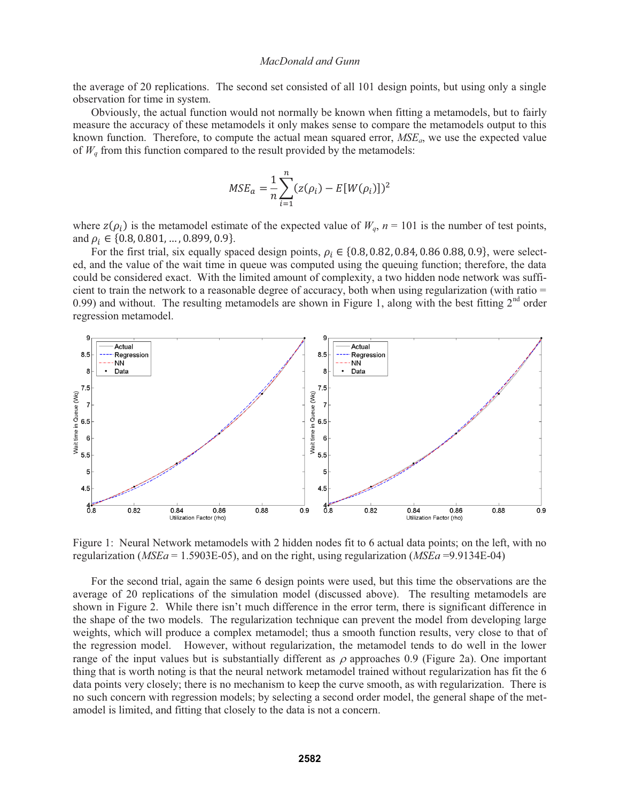the average of 20 replications. The second set consisted of all 101 design points, but using only a single observation for time in system.

Obviously, the actual function would not normally be known when fitting a metamodels, but to fairly measure the accuracy of these metamodels it only makes sense to compare the metamodels output to this known function. Therefore, to compute the actual mean squared error, *MSEa*, we use the expected value of  $W_a$  from this function compared to the result provided by the metamodels:

$$
MSE_a = \frac{1}{n} \sum_{i=1}^{n} (z(\rho_i) - E[W(\rho_i)])^2
$$

where  $z(\rho_i)$  is the metamodel estimate of the expected value of  $W_q$ ,  $n = 101$  is the number of test points, and  $\rho_i \in \{0.8, 0.801, \ldots, 0.899, 0.9\}.$ 

For the first trial, six equally spaced design points,  $\rho_i \in \{0.8, 0.82, 0.84, 0.86, 0.88, 0.9\}$ , were selected, and the value of the wait time in queue was computed using the queuing function; therefore, the data could be considered exact. With the limited amount of complexity, a two hidden node network was sufficient to train the network to a reasonable degree of accuracy, both when using regularization (with ratio = 0.99) and without. The resulting metamodels are shown in Figure 1, along with the best fitting  $2<sup>nd</sup>$  order regression metamodel.



Figure 1: Neural Network metamodels with 2 hidden nodes fit to 6 actual data points; on the left, with no regularization (*MSEa* = 1.5903E-05), and on the right, using regularization (*MSEa* =9.9134E-04)

For the second trial, again the same 6 design points were used, but this time the observations are the average of 20 replications of the simulation model (discussed above). The resulting metamodels are shown in Figure 2. While there isn't much difference in the error term, there is significant difference in the shape of the two models. The regularization technique can prevent the model from developing large weights, which will produce a complex metamodel; thus a smooth function results, very close to that of the regression model. However, without regularization, the metamodel tends to do well in the lower range of the input values but is substantially different as  $\rho$  approaches 0.9 (Figure 2a). One important thing that is worth noting is that the neural network metamodel trained without regularization has fit the 6 data points very closely; there is no mechanism to keep the curve smooth, as with regularization. There is no such concern with regression models; by selecting a second order model, the general shape of the metamodel is limited, and fitting that closely to the data is not a concern.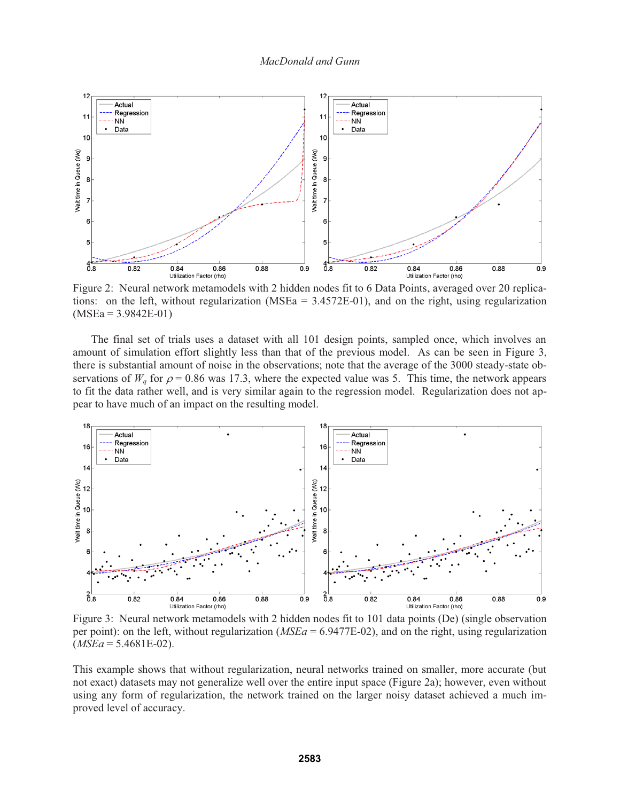

Figure 2: Neural network metamodels with 2 hidden nodes fit to 6 Data Points, averaged over 20 replications: on the left, without regularization (MSEa  $= 3.4572E-01$ ), and on the right, using regularization  $(MSEa = 3.9842E-01)$ 

The final set of trials uses a dataset with all 101 design points, sampled once, which involves an amount of simulation effort slightly less than that of the previous model. As can be seen in Figure 3, there is substantial amount of noise in the observations; note that the average of the 3000 steady-state observations of  $W_q$  for  $\rho = 0.86$  was 17.3, where the expected value was 5. This time, the network appears to fit the data rather well, and is very similar again to the regression model. Regularization does not appear to have much of an impact on the resulting model.



Figure 3: Neural network metamodels with 2 hidden nodes fit to 101 data points (De) (single observation per point): on the left, without regularization (*MSEa* = 6.9477E-02), and on the right, using regularization  $(MSEa = 5.4681E-02)$ .

This example shows that without regularization, neural networks trained on smaller, more accurate (but not exact) datasets may not generalize well over the entire input space (Figure 2a); however, even without using any form of regularization, the network trained on the larger noisy dataset achieved a much improved level of accuracy.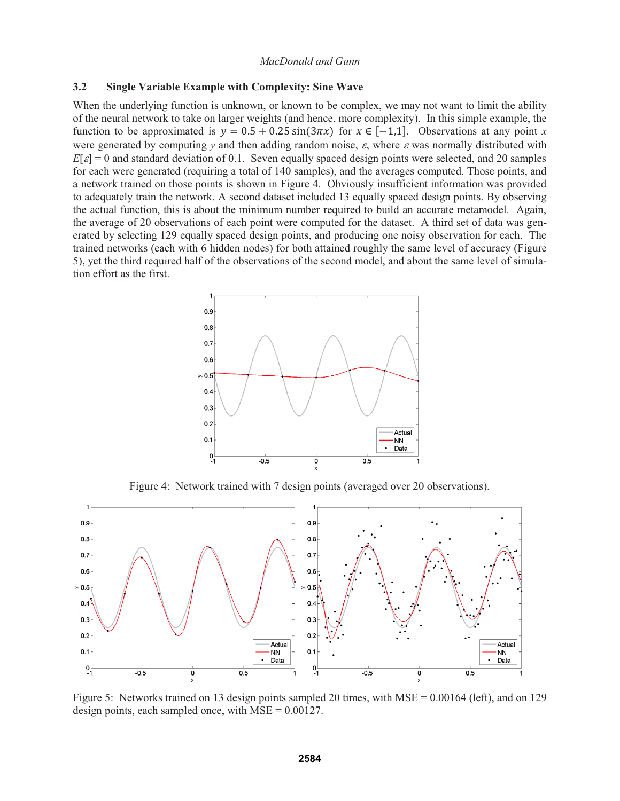#### **3.2 Single Variable Example with Complexity: Sine Wave**

When the underlying function is unknown, or known to be complex, we may not want to limit the ability of the neural network to take on larger weights (and hence, more complexity). In this simple example, the function to be approximated is  $y = 0.5 + 0.25 \sin(3\pi x)$  for  $x \in [-1,1]$ . Observations at any point *x* were generated by computing  $y$  and then adding random noise,  $\varepsilon$ , where  $\varepsilon$  was normally distributed with  $E[\varepsilon] = 0$  and standard deviation of 0.1. Seven equally spaced design points were selected, and 20 samples for each were generated (requiring a total of 140 samples), and the averages computed. Those points, and a network trained on those points is shown in Figure 4. Obviously insufficient information was provided to adequately train the network. A second dataset included 13 equally spaced design points. By observing the actual function, this is about the minimum number required to build an accurate metamodel. Again, the average of 20 observations of each point were computed for the dataset. A third set of data was generated by selecting 129 equally spaced design points, and producing one noisy observation for each. The trained networks (each with 6 hidden nodes) for both attained roughly the same level of accuracy (Figure 5), yet the third required half of the observations of the second model, and about the same level of simulation effort as the first.



Figure 4: Network trained with 7 design points (averaged over 20 observations).



Figure 5: Networks trained on 13 design points sampled 20 times, with MSE = 0.00164 (left), and on 129 design points, each sampled once, with  $MSE = 0.00127$ .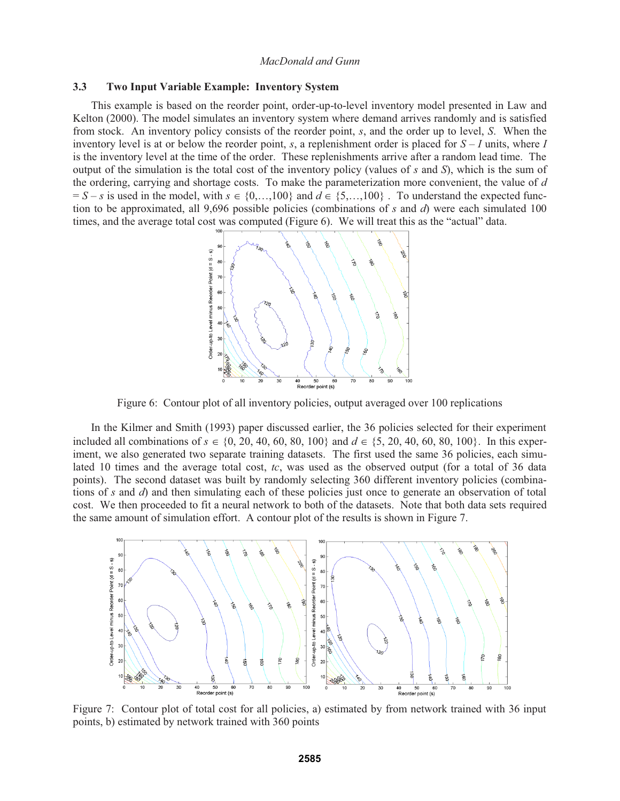#### **3.3 Two Input Variable Example: Inventory System**

This example is based on the reorder point, order-up-to-level inventory model presented in Law and Kelton (2000). The model simulates an inventory system where demand arrives randomly and is satisfied from stock. An inventory policy consists of the reorder point, *s*, and the order up to level, *S*. When the inventory level is at or below the reorder point, *s*, a replenishment order is placed for *S* – *I* units, where *I* is the inventory level at the time of the order. These replenishments arrive after a random lead time. The output of the simulation is the total cost of the inventory policy (values of *s* and *S*), which is the sum of the ordering, carrying and shortage costs. To make the parameterization more convenient, the value of *d*  $S - S - S$  is used in the model, with  $s \in \{0, \ldots, 100\}$  and  $d \in \{5, \ldots, 100\}$ . To understand the expected function to be approximated, all 9,696 possible policies (combinations of *s* and *d*) were each simulated 100 times, and the average total cost was computed (Figure 6). We will treat this as the "actual" data.



Figure 6: Contour plot of all inventory policies, output averaged over 100 replications

In the Kilmer and Smith (1993) paper discussed earlier, the 36 policies selected for their experiment included all combinations of  $s \in \{0, 20, 40, 60, 80, 100\}$  and  $d \in \{5, 20, 40, 60, 80, 100\}$ . In this experiment, we also generated two separate training datasets. The first used the same 36 policies, each simulated 10 times and the average total cost, *tc*, was used as the observed output (for a total of 36 data points). The second dataset was built by randomly selecting 360 different inventory policies (combinations of *s* and *d*) and then simulating each of these policies just once to generate an observation of total cost. We then proceeded to fit a neural network to both of the datasets. Note that both data sets required the same amount of simulation effort. A contour plot of the results is shown in Figure 7.



Figure 7: Contour plot of total cost for all policies, a) estimated by from network trained with 36 input points, b) estimated by network trained with 360 points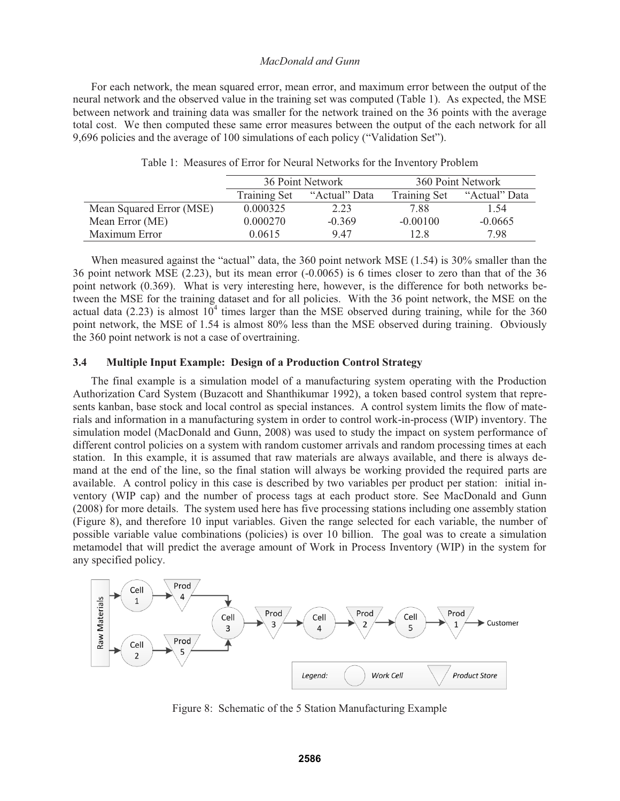For each network, the mean squared error, mean error, and maximum error between the output of the neural network and the observed value in the training set was computed (Table 1). As expected, the MSE between network and training data was smaller for the network trained on the 36 points with the average total cost. We then computed these same error measures between the output of the each network for all 9,696 policies and the average of 100 simulations of each policy ("Validation Set").

|                          | 36 Point Network    |               | 360 Point Network   |               |
|--------------------------|---------------------|---------------|---------------------|---------------|
|                          | <b>Training Set</b> | "Actual" Data | <b>Training Set</b> | "Actual" Data |
| Mean Squared Error (MSE) | 0.000325            | 2.23          | 7.88                | 1.54          |
| Mean Error (ME)          | 0.000270            | $-0.369$      | $-0.00100$          | $-0.0665$     |
| Maximum Error            | 0.0615              | 947           | 12.8                | 7.98          |

Table 1: Measures of Error for Neural Networks for the Inventory Problem

When measured against the "actual" data, the 360 point network MSE (1.54) is 30% smaller than the 36 point network MSE (2.23), but its mean error (-0.0065) is 6 times closer to zero than that of the 36 point network (0.369). What is very interesting here, however, is the difference for both networks between the MSE for the training dataset and for all policies. With the 36 point network, the MSE on the actual data (2.23) is almost  $10<sup>4</sup>$  times larger than the MSE observed during training, while for the 360 point network, the MSE of 1.54 is almost 80% less than the MSE observed during training. Obviously the 360 point network is not a case of overtraining.

## **3.4 Multiple Input Example: Design of a Production Control Strategy**

The final example is a simulation model of a manufacturing system operating with the Production Authorization Card System (Buzacott and Shanthikumar 1992), a token based control system that represents kanban, base stock and local control as special instances. A control system limits the flow of materials and information in a manufacturing system in order to control work-in-process (WIP) inventory. The simulation model (MacDonald and Gunn, 2008) was used to study the impact on system performance of different control policies on a system with random customer arrivals and random processing times at each station. In this example, it is assumed that raw materials are always available, and there is always demand at the end of the line, so the final station will always be working provided the required parts are available. A control policy in this case is described by two variables per product per station: initial inventory (WIP cap) and the number of process tags at each product store. See MacDonald and Gunn (2008) for more details. The system used here has five processing stations including one assembly station (Figure 8), and therefore 10 input variables. Given the range selected for each variable, the number of possible variable value combinations (policies) is over 10 billion. The goal was to create a simulation metamodel that will predict the average amount of Work in Process Inventory (WIP) in the system for any specified policy.



Figure 8: Schematic of the 5 Station Manufacturing Example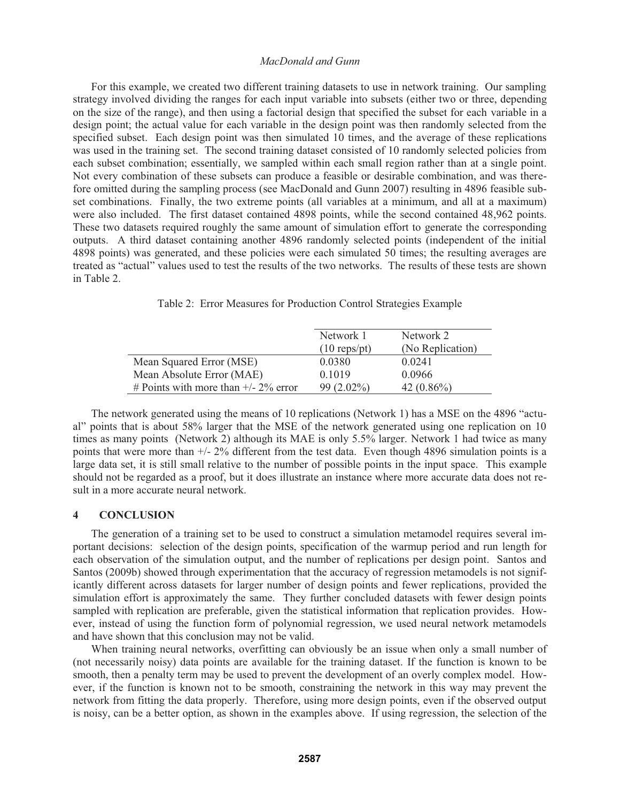For this example, we created two different training datasets to use in network training. Our sampling strategy involved dividing the ranges for each input variable into subsets (either two or three, depending on the size of the range), and then using a factorial design that specified the subset for each variable in a design point; the actual value for each variable in the design point was then randomly selected from the specified subset. Each design point was then simulated 10 times, and the average of these replications was used in the training set. The second training dataset consisted of 10 randomly selected policies from each subset combination; essentially, we sampled within each small region rather than at a single point. Not every combination of these subsets can produce a feasible or desirable combination, and was therefore omitted during the sampling process (see MacDonald and Gunn 2007) resulting in 4896 feasible subset combinations. Finally, the two extreme points (all variables at a minimum, and all at a maximum) were also included. The first dataset contained 4898 points, while the second contained 48,962 points. These two datasets required roughly the same amount of simulation effort to generate the corresponding outputs. A third dataset containing another 4896 randomly selected points (independent of the initial 4898 points) was generated, and these policies were each simulated 50 times; the resulting averages are treated as "actual" values used to test the results of the two networks. The results of these tests are shown in Table 2.

|                                         | Network 1<br>$(10 \text{ reps/pt})$ | Network 2<br>(No Replication) |
|-----------------------------------------|-------------------------------------|-------------------------------|
| Mean Squared Error (MSE)                | 0.0380                              | 0.0241                        |
| Mean Absolute Error (MAE)               | 0.1019                              | 0.0966                        |
| # Points with more than $+/- 2\%$ error | $99(2.02\%)$                        | 42 $(0.86\%)$                 |

Table 2: Error Measures for Production Control Strategies Example

The network generated using the means of 10 replications (Network 1) has a MSE on the 4896 "actual" points that is about 58% larger that the MSE of the network generated using one replication on 10 times as many points (Network 2) although its MAE is only 5.5% larger. Network 1 had twice as many points that were more than +/- 2% different from the test data. Even though 4896 simulation points is a large data set, it is still small relative to the number of possible points in the input space. This example should not be regarded as a proof, but it does illustrate an instance where more accurate data does not result in a more accurate neural network.

### **4 CONCLUSION**

The generation of a training set to be used to construct a simulation metamodel requires several important decisions: selection of the design points, specification of the warmup period and run length for each observation of the simulation output, and the number of replications per design point. Santos and Santos (2009b) showed through experimentation that the accuracy of regression metamodels is not significantly different across datasets for larger number of design points and fewer replications, provided the simulation effort is approximately the same. They further concluded datasets with fewer design points sampled with replication are preferable, given the statistical information that replication provides. However, instead of using the function form of polynomial regression, we used neural network metamodels and have shown that this conclusion may not be valid.

When training neural networks, overfitting can obviously be an issue when only a small number of (not necessarily noisy) data points are available for the training dataset. If the function is known to be smooth, then a penalty term may be used to prevent the development of an overly complex model. However, if the function is known not to be smooth, constraining the network in this way may prevent the network from fitting the data properly. Therefore, using more design points, even if the observed output is noisy, can be a better option, as shown in the examples above. If using regression, the selection of the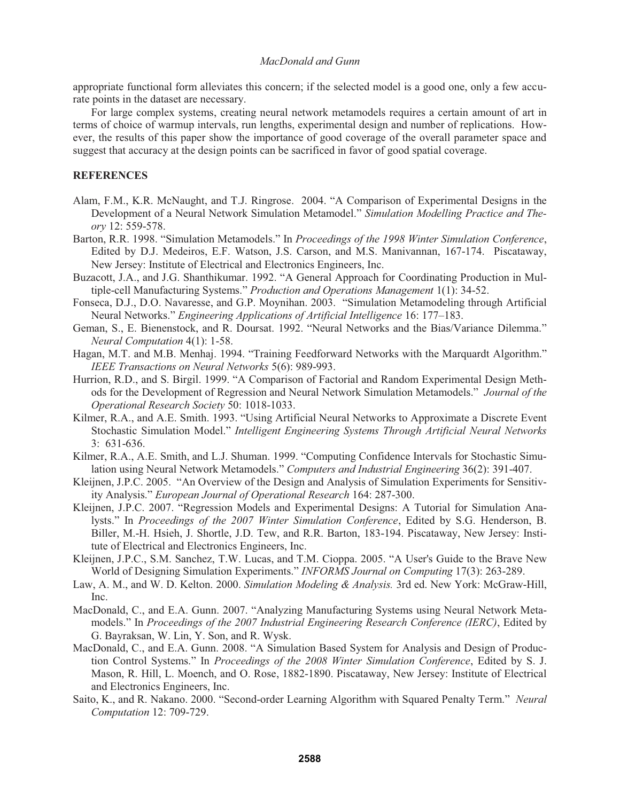appropriate functional form alleviates this concern; if the selected model is a good one, only a few accurate points in the dataset are necessary.

For large complex systems, creating neural network metamodels requires a certain amount of art in terms of choice of warmup intervals, run lengths, experimental design and number of replications. However, the results of this paper show the importance of good coverage of the overall parameter space and suggest that accuracy at the design points can be sacrificed in favor of good spatial coverage.

#### **REFERENCES**

- Alam, F.M., K.R. McNaught, and T.J. Ringrose. 2004. "A Comparison of Experimental Designs in the Development of a Neural Network Simulation Metamodel." *Simulation Modelling Practice and Theory* 12: 559-578.
- Barton, R.R. 1998. "Simulation Metamodels." In *Proceedings of the 1998 Winter Simulation Conference*, Edited by D.J. Medeiros, E.F. Watson, J.S. Carson, and M.S. Manivannan, 167-174. Piscataway, New Jersey: Institute of Electrical and Electronics Engineers, Inc.
- Buzacott, J.A., and J.G. Shanthikumar. 1992. "A General Approach for Coordinating Production in Multiple-cell Manufacturing Systems." *Production and Operations Management* 1(1): 34-52.
- Fonseca, D.J., D.O. Navaresse, and G.P. Moynihan. 2003. "Simulation Metamodeling through Artificial Neural Networks." *Engineering Applications of Artificial Intelligence* 16: 177–183.
- Geman, S., E. Bienenstock, and R. Doursat. 1992. "Neural Networks and the Bias/Variance Dilemma." *Neural Computation* 4(1): 1-58.
- Hagan, M.T. and M.B. Menhaj. 1994. "Training Feedforward Networks with the Marquardt Algorithm." *IEEE Transactions on Neural Networks* 5(6): 989-993.
- Hurrion, R.D., and S. Birgil. 1999. "A Comparison of Factorial and Random Experimental Design Methods for the Development of Regression and Neural Network Simulation Metamodels." *Journal of the Operational Research Society* 50: 1018-1033.
- Kilmer, R.A., and A.E. Smith. 1993. "Using Artificial Neural Networks to Approximate a Discrete Event Stochastic Simulation Model." *Intelligent Engineering Systems Through Artificial Neural Networks* 3: 631-636.
- Kilmer, R.A., A.E. Smith, and L.J. Shuman. 1999. "Computing Confidence Intervals for Stochastic Simulation using Neural Network Metamodels." *Computers and Industrial Engineering* 36(2): 391-407.
- Kleijnen, J.P.C. 2005. "An Overview of the Design and Analysis of Simulation Experiments for Sensitivity Analysis." *European Journal of Operational Research* 164: 287-300.
- Kleijnen, J.P.C. 2007. "Regression Models and Experimental Designs: A Tutorial for Simulation Analysts." In *Proceedings of the 2007 Winter Simulation Conference*, Edited by S.G. Henderson, B. Biller, M.-H. Hsieh, J. Shortle, J.D. Tew, and R.R. Barton, 183-194. Piscataway, New Jersey: Institute of Electrical and Electronics Engineers, Inc.
- Kleijnen, J.P.C., S.M. Sanchez, T.W. Lucas, and T.M. Cioppa. 2005. "A User's Guide to the Brave New World of Designing Simulation Experiments." *INFORMS Journal on Computing* 17(3): 263-289.
- Law, A. M., and W. D. Kelton. 2000. *Simulation Modeling & Analysis.* 3rd ed. New York: McGraw-Hill, Inc.
- MacDonald, C., and E.A. Gunn. 2007. "Analyzing Manufacturing Systems using Neural Network Metamodels." In *Proceedings of the 2007 Industrial Engineering Research Conference (IERC)*, Edited by G. Bayraksan, W. Lin, Y. Son, and R. Wysk.
- MacDonald, C., and E.A. Gunn. 2008. "A Simulation Based System for Analysis and Design of Production Control Systems." In *Proceedings of the 2008 Winter Simulation Conference*, Edited by S. J. Mason, R. Hill, L. Moench, and O. Rose, 1882-1890. Piscataway, New Jersey: Institute of Electrical and Electronics Engineers, Inc.
- Saito, K., and R. Nakano. 2000. "Second-order Learning Algorithm with Squared Penalty Term." *Neural Computation* 12: 709-729.